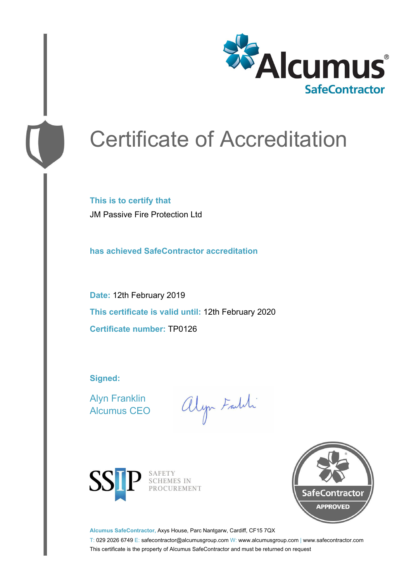

# Certificate of Accreditation

**This is to certify that** JM Passive Fire Protection Ltd

**has achieved SafeContractor accreditation**

**Date:** 12th February 2019 **This certificate is valid until:** 12th February 2020 **Certificate number:** TP0126

**Signed:**

Alyn Franklin Alcumus CEO

alyn Faith



SAFETY<br>SCHEMES IN PROCUREMENT



**Alcumus SafeContractor,** Axys House, Parc Nantgarw, Cardiff, CF15 7QX

T: 029 2026 6749 E: safecontractor@alcumusgroup.com W: www.alcumusgroup.com | www.safecontractor.com This certificate is the property of Alcumus SafeContractor and must be returned on request